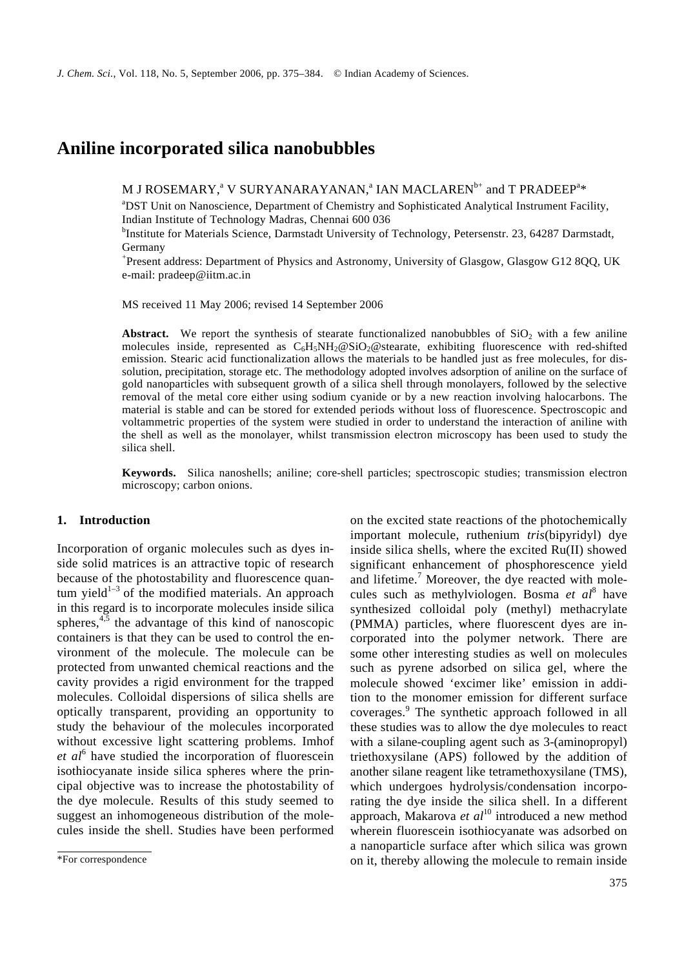# **Aniline incorporated silica nanobubbles**

M J ROSEMARY, $\mathrm{^a}$  V SURYANARAYANAN, $\mathrm{^a}$  IAN MACLAREN $\mathrm{^{b+}}$  and T PRADEEP $\mathrm{^{a}}\ast$ 

<sup>a</sup>DST Unit on Nanoscience, Department of Chemistry and Sophisticated Analytical Instrument Facility, Indian Institute of Technology Madras, Chennai 600 036

<sup>b</sup>Institute for Materials Science, Darmstadt University of Technology, Petersenstr. 23, 64287 Darmstadt, Germany

+ Present address: Department of Physics and Astronomy, University of Glasgow, Glasgow G12 8QQ, UK e-mail: pradeep@iitm.ac.in

MS received 11 May 2006; revised 14 September 2006

**Abstract.** We report the synthesis of stearate functionalized nanobubbles of SiO<sub>2</sub> with a few aniline molecules inside, represented as  $C_6H_5NH_2@SiO_2@stearate$ , exhibiting fluorescence with red-shifted emission. Stearic acid functionalization allows the materials to be handled just as free molecules, for dissolution, precipitation, storage etc. The methodology adopted involves adsorption of aniline on the surface of gold nanoparticles with subsequent growth of a silica shell through monolayers, followed by the selective removal of the metal core either using sodium cyanide or by a new reaction involving halocarbons. The material is stable and can be stored for extended periods without loss of fluorescence. Spectroscopic and voltammetric properties of the system were studied in order to understand the interaction of aniline with the shell as well as the monolayer, whilst transmission electron microscopy has been used to study the silica shell.

**Keywords.** Silica nanoshells; aniline; core-shell particles; spectroscopic studies; transmission electron microscopy; carbon onions.

# **1. Introduction**

Incorporation of organic molecules such as dyes inside solid matrices is an attractive topic of research because of the photostability and fluorescence quantum yield $1-3$  of the modified materials. An approach in this regard is to incorporate molecules inside silica spheres, $4\overline{5}$  the advantage of this kind of nanoscopic containers is that they can be used to control the environment of the molecule. The molecule can be protected from unwanted chemical reactions and the cavity provides a rigid environment for the trapped molecules. Colloidal dispersions of silica shells are optically transparent, providing an opportunity to study the behaviour of the molecules incorporated without excessive light scattering problems. Imhof et al<sup>6</sup> have studied the incorporation of fluorescein isothiocyanate inside silica spheres where the principal objective was to increase the photostability of the dye molecule. Results of this study seemed to suggest an inhomogeneous distribution of the molecules inside the shell. Studies have been performed

on the excited state reactions of the photochemically important molecule, ruthenium *tris*(bipyridyl) dye inside silica shells, where the excited Ru(II) showed significant enhancement of phosphorescence yield and lifetime.<sup>7</sup> Moreover, the dye reacted with molecules such as methylviologen. Bosma *et al*<sup>8</sup> have synthesized colloidal poly (methyl) methacrylate (PMMA) particles, where fluorescent dyes are incorporated into the polymer network. There are some other interesting studies as well on molecules such as pyrene adsorbed on silica gel, where the molecule showed 'excimer like' emission in addition to the monomer emission for different surface coverages.<sup>9</sup> The synthetic approach followed in all these studies was to allow the dye molecules to react with a silane-coupling agent such as 3-(aminopropyl) triethoxysilane (APS) followed by the addition of another silane reagent like tetramethoxysilane (TMS), which undergoes hydrolysis/condensation incorporating the dye inside the silica shell. In a different approach, Makarova *et al*<sup>10</sup> introduced a new method wherein fluorescein isothiocyanate was adsorbed on a nanoparticle surface after which silica was grown on it, thereby allowing the molecule to remain inside

<sup>\*</sup>For correspondence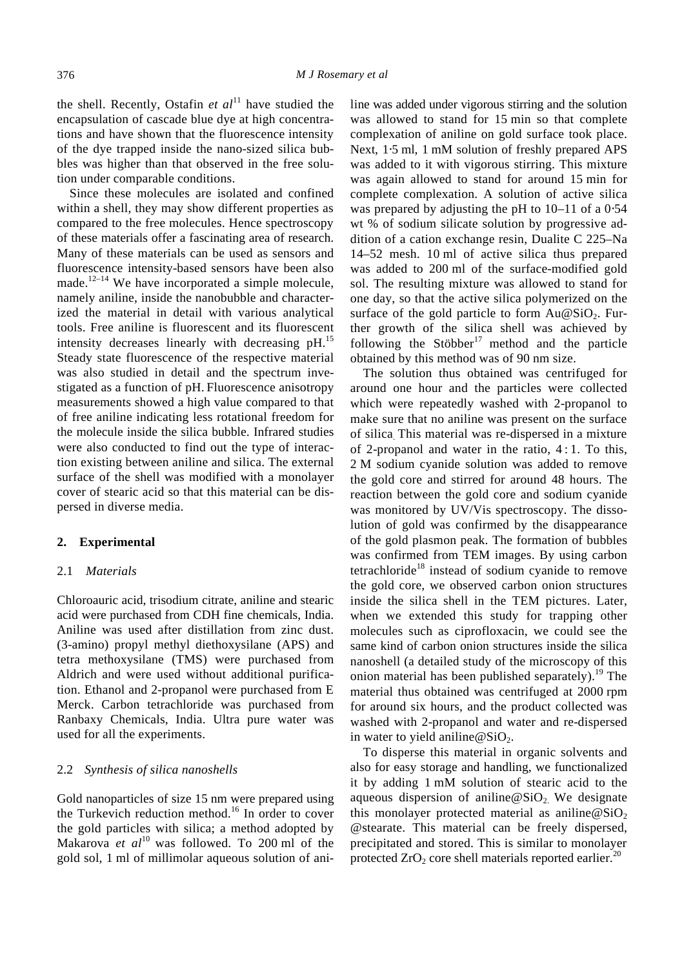the shell. Recently, Ostafin *et al*<sup>11</sup> have studied the encapsulation of cascade blue dye at high concentrations and have shown that the fluorescence intensity of the dye trapped inside the nano-sized silica bubbles was higher than that observed in the free solution under comparable conditions.

Since these molecules are isolated and confined within a shell, they may show different properties as compared to the free molecules. Hence spectroscopy of these materials offer a fascinating area of research. Many of these materials can be used as sensors and fluorescence intensity-based sensors have been also made. $12-14$  We have incorporated a simple molecule, namely aniline, inside the nanobubble and characterized the material in detail with various analytical tools. Free aniline is fluorescent and its fluorescent intensity decreases linearly with decreasing  $pH$ .<sup>15</sup> Steady state fluorescence of the respective material was also studied in detail and the spectrum investigated as a function of pH. Fluorescence anisotropy measurements showed a high value compared to that of free aniline indicating less rotational freedom for the molecule inside the silica bubble. Infrared studies were also conducted to find out the type of interaction existing between aniline and silica. The external surface of the shell was modified with a monolayer cover of stearic acid so that this material can be dispersed in diverse media.

### **2. Experimental**

## 2.1 *Materials*

Chloroauric acid, trisodium citrate, aniline and stearic acid were purchased from CDH fine chemicals, India. Aniline was used after distillation from zinc dust. (3-amino) propyl methyl diethoxysilane (APS) and tetra methoxysilane (TMS) were purchased from Aldrich and were used without additional purification. Ethanol and 2-propanol were purchased from E Merck. Carbon tetrachloride was purchased from Ranbaxy Chemicals, India. Ultra pure water was used for all the experiments.

### 2.2 *Synthesis of silica nanoshells*

Gold nanoparticles of size 15 nm were prepared using the Turkevich reduction method.<sup>16</sup> In order to cover the gold particles with silica; a method adopted by Makarova et al<sup>10</sup> was followed. To 200 ml of the gold sol, 1 ml of millimolar aqueous solution of ani-

line was added under vigorous stirring and the solution was allowed to stand for 15 min so that complete complexation of aniline on gold surface took place. Next, 1⋅5 ml, 1 mM solution of freshly prepared APS was added to it with vigorous stirring. This mixture was again allowed to stand for around 15 min for complete complexation. A solution of active silica was prepared by adjusting the pH to 10–11 of a 0⋅54 wt % of sodium silicate solution by progressive addition of a cation exchange resin, Dualite C 225–Na 14–52 mesh. 10 ml of active silica thus prepared was added to 200 ml of the surface-modified gold sol. The resulting mixture was allowed to stand for one day, so that the active silica polymerized on the surface of the gold particle to form  $Au@SiO<sub>2</sub>$ . Further growth of the silica shell was achieved by following the Stöbber<sup>17</sup> method and the particle obtained by this method was of 90 nm size.

The solution thus obtained was centrifuged for around one hour and the particles were collected which were repeatedly washed with 2-propanol to make sure that no aniline was present on the surface of silica. This material was re-dispersed in a mixture of 2-propanol and water in the ratio, 4 : 1. To this, 2 M sodium cyanide solution was added to remove the gold core and stirred for around 48 hours. The reaction between the gold core and sodium cyanide was monitored by UV/Vis spectroscopy. The dissolution of gold was confirmed by the disappearance of the gold plasmon peak. The formation of bubbles was confirmed from TEM images. By using carbon tetrachloride<sup>18</sup> instead of sodium cyanide to remove the gold core, we observed carbon onion structures inside the silica shell in the TEM pictures. Later, when we extended this study for trapping other molecules such as ciprofloxacin, we could see the same kind of carbon onion structures inside the silica nanoshell (a detailed study of the microscopy of this onion material has been published separately).<sup>19</sup> The material thus obtained was centrifuged at 2000 rpm for around six hours, and the product collected was washed with 2-propanol and water and re-dispersed in water to yield aniline  $@SiO<sub>2</sub>$ .

To disperse this material in organic solvents and also for easy storage and handling, we functionalized it by adding 1 mM solution of stearic acid to the aqueous dispersion of aniline@ $SiO<sub>2</sub>$ . We designate this monolayer protected material as aniline@SiO<sub>2</sub> @stearate. This material can be freely dispersed, precipitated and stored. This is similar to monolayer protected  $ZrO<sub>2</sub>$  core shell materials reported earlier.<sup>20</sup>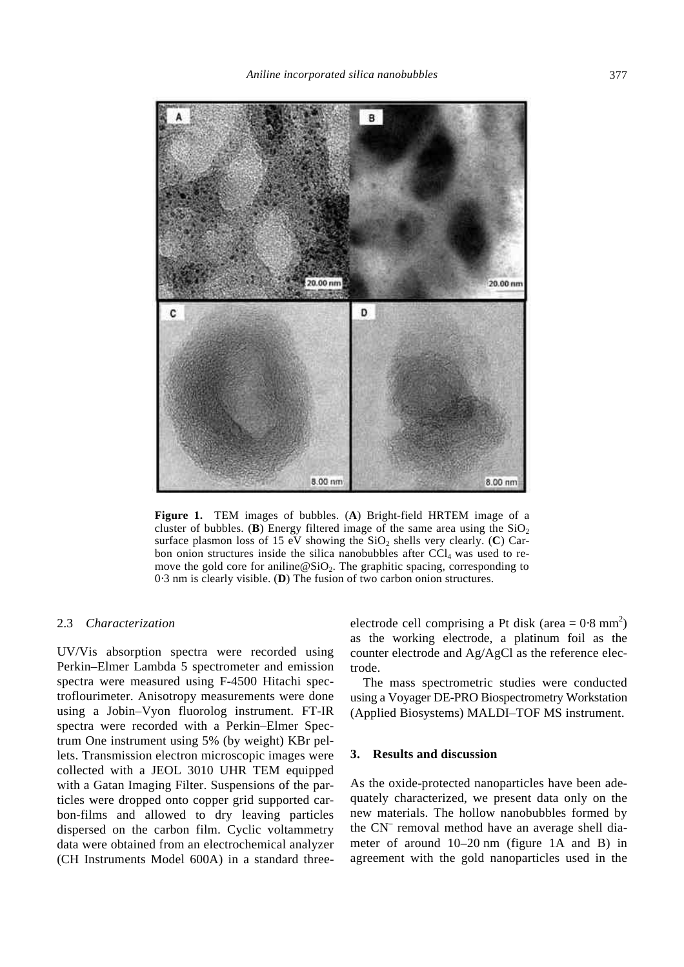

**Figure 1.** TEM images of bubbles. (**A**) Bright-field HRTEM image of a cluster of bubbles. (**B**) Energy filtered image of the same area using the  $SiO<sub>2</sub>$ surface plasmon loss of 15 eV showing the  $SiO<sub>2</sub>$  shells very clearly. (**C**) Carbon onion structures inside the silica nanobubbles after  $CCl<sub>4</sub>$  was used to remove the gold core for aniline@SiO<sub>2</sub>. The graphitic spacing, corresponding to 0⋅3 nm is clearly visible. (**D**) The fusion of two carbon onion structures.

# 2.3 *Characterization*

UV/Vis absorption spectra were recorded using Perkin–Elmer Lambda 5 spectrometer and emission spectra were measured using F-4500 Hitachi spectroflourimeter. Anisotropy measurements were done using a Jobin–Vyon fluorolog instrument. FT-IR spectra were recorded with a Perkin–Elmer Spectrum One instrument using 5% (by weight) KBr pellets. Transmission electron microscopic images were collected with a JEOL 3010 UHR TEM equipped with a Gatan Imaging Filter. Suspensions of the particles were dropped onto copper grid supported carbon-films and allowed to dry leaving particles dispersed on the carbon film. Cyclic voltammetry data were obtained from an electrochemical analyzer (CH Instruments Model 600A) in a standard three-

electrode cell comprising a Pt disk (area =  $0.8 \text{ mm}^2$ ) as the working electrode, a platinum foil as the counter electrode and Ag/AgCl as the reference electrode.

The mass spectrometric studies were conducted using a Voyager DE-PRO Biospectrometry Workstation (Applied Biosystems) MALDI–TOF MS instrument.

# **3. Results and discussion**

As the oxide-protected nanoparticles have been adequately characterized, we present data only on the new materials. The hollow nanobubbles formed by the CN<sup>-</sup> removal method have an average shell diameter of around 10–20 nm (figure 1A and B) in agreement with the gold nanoparticles used in the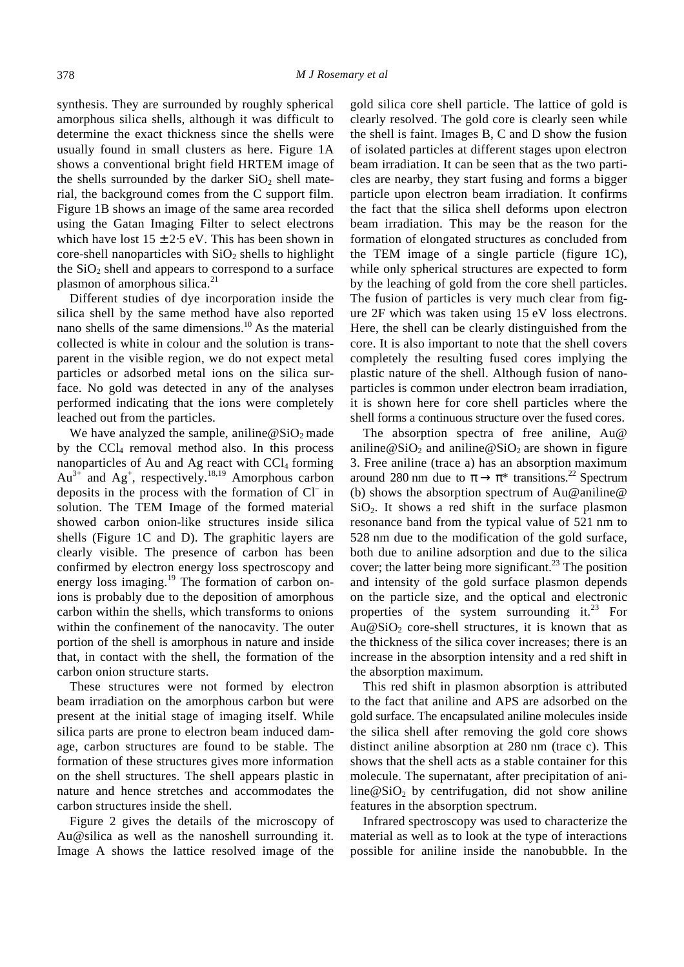synthesis. They are surrounded by roughly spherical amorphous silica shells, although it was difficult to determine the exact thickness since the shells were usually found in small clusters as here. Figure 1A shows a conventional bright field HRTEM image of the shells surrounded by the darker  $SiO<sub>2</sub>$  shell material, the background comes from the C support film. Figure 1B shows an image of the same area recorded using the Gatan Imaging Filter to select electrons which have lost  $15 \pm 2.5$  eV. This has been shown in core-shell nanoparticles with  $SiO<sub>2</sub>$  shells to highlight the  $SiO<sub>2</sub>$  shell and appears to correspond to a surface plasmon of amorphous silica.<sup>21</sup>

Different studies of dye incorporation inside the silica shell by the same method have also reported nano shells of the same dimensions.<sup>10</sup> As the material collected is white in colour and the solution is transparent in the visible region, we do not expect metal particles or adsorbed metal ions on the silica surface. No gold was detected in any of the analyses performed indicating that the ions were completely leached out from the particles.

We have analyzed the sample, aniline  $@SiO<sub>2</sub>$  made by the  $CCl<sub>4</sub>$  removal method also. In this process nanoparticles of Au and Ag react with  $CCl<sub>4</sub>$  forming  $Au^{3+}$  and  $Ag^+$ , respectively.<sup>18,19</sup> Amorphous carbon deposits in the process with the formation of Cl– in solution. The TEM Image of the formed material showed carbon onion-like structures inside silica shells (Figure 1C and D). The graphitic layers are clearly visible. The presence of carbon has been confirmed by electron energy loss spectroscopy and energy loss imaging.<sup>19</sup> The formation of carbon onions is probably due to the deposition of amorphous carbon within the shells, which transforms to onions within the confinement of the nanocavity. The outer portion of the shell is amorphous in nature and inside that, in contact with the shell, the formation of the carbon onion structure starts.

These structures were not formed by electron beam irradiation on the amorphous carbon but were present at the initial stage of imaging itself. While silica parts are prone to electron beam induced damage, carbon structures are found to be stable. The formation of these structures gives more information on the shell structures. The shell appears plastic in nature and hence stretches and accommodates the carbon structures inside the shell.

Figure 2 gives the details of the microscopy of Au@silica as well as the nanoshell surrounding it. Image A shows the lattice resolved image of the

gold silica core shell particle. The lattice of gold is clearly resolved. The gold core is clearly seen while the shell is faint. Images B, C and D show the fusion of isolated particles at different stages upon electron beam irradiation. It can be seen that as the two particles are nearby, they start fusing and forms a bigger particle upon electron beam irradiation. It confirms the fact that the silica shell deforms upon electron beam irradiation. This may be the reason for the formation of elongated structures as concluded from the TEM image of a single particle (figure 1C), while only spherical structures are expected to form by the leaching of gold from the core shell particles. The fusion of particles is very much clear from figure 2F which was taken using 15 eV loss electrons. Here, the shell can be clearly distinguished from the core. It is also important to note that the shell covers completely the resulting fused cores implying the plastic nature of the shell. Although fusion of nanoparticles is common under electron beam irradiation, it is shown here for core shell particles where the shell forms a continuous structure over the fused cores.

The absorption spectra of free aniline, Au@ aniline@SiO<sub>2</sub> and aniline@SiO<sub>2</sub> are shown in figure 3. Free aniline (trace a) has an absorption maximum around 280 nm due to  $p \rightarrow p^*$  transitions.<sup>22</sup> Spectrum (b) shows the absorption spectrum of Au@aniline@  $SiO<sub>2</sub>$ . It shows a red shift in the surface plasmon resonance band from the typical value of 521 nm to 528 nm due to the modification of the gold surface, both due to aniline adsorption and due to the silica cover; the latter being more significant.<sup>23</sup> The position and intensity of the gold surface plasmon depends on the particle size, and the optical and electronic properties of the system surrounding it. $^{23}$  For  $Au@SiO<sub>2</sub>$  core-shell structures, it is known that as the thickness of the silica cover increases; there is an increase in the absorption intensity and a red shift in the absorption maximum.

This red shift in plasmon absorption is attributed to the fact that aniline and APS are adsorbed on the gold surface. The encapsulated aniline molecules inside the silica shell after removing the gold core shows distinct aniline absorption at 280 nm (trace c). This shows that the shell acts as a stable container for this molecule. The supernatant, after precipitation of aniline@SiO<sub>2</sub> by centrifugation, did not show aniline features in the absorption spectrum.

Infrared spectroscopy was used to characterize the material as well as to look at the type of interactions possible for aniline inside the nanobubble. In the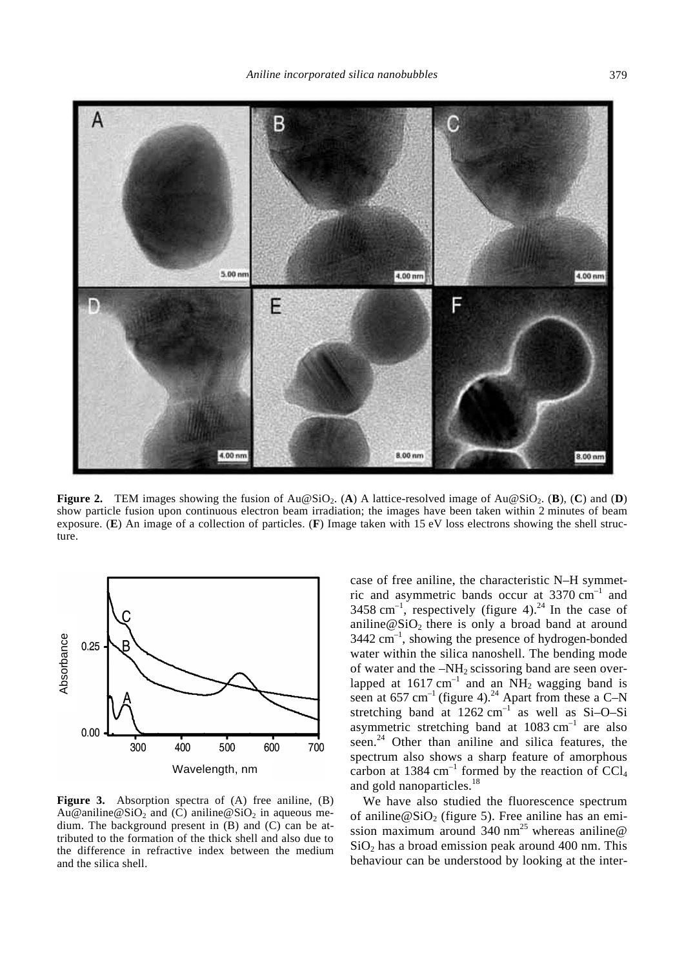

**Figure 2.** TEM images showing the fusion of Au@SiO<sub>2</sub>. (A) A lattice-resolved image of Au@SiO<sub>2</sub>. (**B**), (**C**) and (**D**) show particle fusion upon continuous electron beam irradiation; the images have been taken within 2 minutes of beam exposure. (**E**) An image of a collection of particles. (**F**) Image taken with 15 eV loss electrons showing the shell structure.



Figure 3. Absorption spectra of (A) free aniline, (B) Au@aniline@SiO<sub>2</sub> and (C) aniline@SiO<sub>2</sub> in aqueous medium. The background present in (B) and (C) can be attributed to the formation of the thick shell and also due to the difference in refractive index between the medium and the silica shell.

case of free aniline, the characteristic N–H symmetric and asymmetric bands occur at  $3370 \text{ cm}^{-1}$  and 3458 cm<sup>-1</sup>, respectively (figure 4).<sup>24</sup> In the case of aniline@SiO<sub>2</sub> there is only a broad band at around  $3442 \text{ cm}^{-1}$ , showing the presence of hydrogen-bonded water within the silica nanoshell. The bending mode of water and the -NH<sub>2</sub> scissoring band are seen overlapped at  $1617 \text{ cm}^{-1}$  and an NH<sub>2</sub> wagging band is seen at 657 cm<sup>-1</sup> (figure 4).<sup>24</sup> Apart from these a C-N stretching band at  $1262 \text{ cm}^{-1}$  as well as Si-O-Si asymmetric stretching band at  $1083 \text{ cm}^{-1}$  are also seen.<sup>24</sup> Other than aniline and silica features, the spectrum also shows a sharp feature of amorphous carbon at 1384  $\text{cm}^{-1}$  formed by the reaction of CCl<sub>4</sub> and gold nanoparticles.<sup>18</sup>

We have also studied the fluorescence spectrum of aniline@SiO<sub>2</sub> (figure 5). Free aniline has an emission maximum around  $340 \text{ nm}^{25}$  whereas aniline@  $SiO<sub>2</sub>$  has a broad emission peak around 400 nm. This behaviour can be understood by looking at the inter-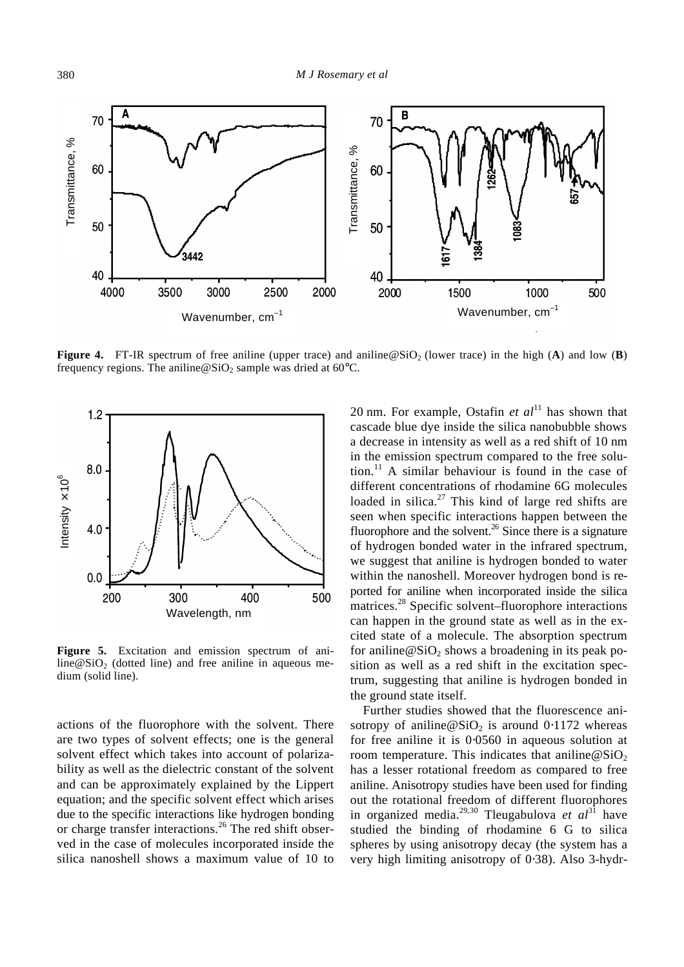

**Figure 4.** FT-IR spectrum of free aniline (upper trace) and aniline@SiO<sub>2</sub> (lower trace) in the high (**A**) and low (**B**) frequency regions. The aniline@SiO<sub>2</sub> sample was dried at  $60^{\circ}$ C.



**Figure 5.** Excitation and emission spectrum of aniline@SiO<sub>2</sub> (dotted line) and free aniline in aqueous medium (solid line).

actions of the fluorophore with the solvent. There are two types of solvent effects; one is the general solvent effect which takes into account of polarizability as well as the dielectric constant of the solvent and can be approximately explained by the Lippert equation; and the specific solvent effect which arises due to the specific interactions like hydrogen bonding or charge transfer interactions.<sup>26</sup> The red shift observed in the case of molecules incorporated inside the silica nanoshell shows a maximum value of 10 to 20 nm. For example, Ostafin  $et$   $al<sup>11</sup>$  has shown that cascade blue dye inside the silica nanobubble shows a decrease in intensity as well as a red shift of 10 nm in the emission spectrum compared to the free solution.<sup>11</sup> A similar behaviour is found in the case of different concentrations of rhodamine 6G molecules loaded in silica. $27$  This kind of large red shifts are seen when specific interactions happen between the fluorophore and the solvent.<sup>26</sup> Since there is a signature of hydrogen bonded water in the infrared spectrum, we suggest that aniline is hydrogen bonded to water within the nanoshell. Moreover hydrogen bond is reported for aniline when incorporated inside the silica matrices.<sup>28</sup> Specific solvent–fluorophore interactions can happen in the ground state as well as in the excited state of a molecule. The absorption spectrum for aniline@SiO<sub>2</sub> shows a broadening in its peak position as well as a red shift in the excitation spectrum, suggesting that aniline is hydrogen bonded in the ground state itself.

Further studies showed that the fluorescence anisotropy of aniline@SiO<sub>2</sub> is around  $0.1172$  whereas for free aniline it is 0⋅0560 in aqueous solution at room temperature. This indicates that aniline  $@SiO<sub>2</sub>$ has a lesser rotational freedom as compared to free aniline. Anisotropy studies have been used for finding out the rotational freedom of different fluorophores in organized media.<sup>29,30</sup> Tleugabulova *et al*<sup>31</sup> have studied the binding of rhodamine 6 G to silica spheres by using anisotropy decay (the system has a very high limiting anisotropy of 0⋅38). Also 3-hydr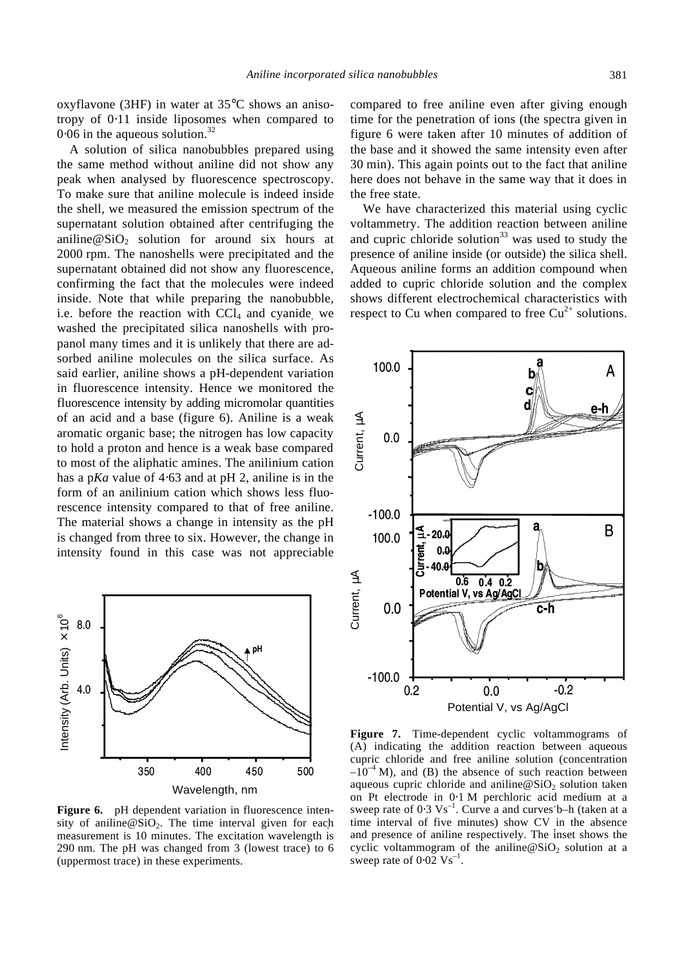oxyflavone (3HF) in water at 35°C shows an anisotropy of 0⋅11 inside liposomes when compared to 0.06 in the aqueous solution.<sup>32</sup>

A solution of silica nanobubbles prepared using the same method without aniline did not show any peak when analysed by fluorescence spectroscopy. To make sure that aniline molecule is indeed inside the shell, we measured the emission spectrum of the supernatant solution obtained after centrifuging the aniline@SiO<sub>2</sub> solution for around six hours at 2000 rpm. The nanoshells were precipitated and the supernatant obtained did not show any fluorescence, confirming the fact that the molecules were indeed inside. Note that while preparing the nanobubble, i.e. before the reaction with  $CCl<sub>4</sub>$  and cyanide, we washed the precipitated silica nanoshells with propanol many times and it is unlikely that there are adsorbed aniline molecules on the silica surface. As said earlier, aniline shows a pH-dependent variation in fluorescence intensity. Hence we monitored the fluorescence intensity by adding micromolar quantities of an acid and a base (figure 6). Aniline is a weak aromatic organic base; the nitrogen has low capacity to hold a proton and hence is a weak base compared to most of the aliphatic amines. The anilinium cation has a p*Ka* value of 4⋅63 and at pH 2, aniline is in the form of an anilinium cation which shows less fluorescence intensity compared to that of free aniline. The material shows a change in intensity as the pH is changed from three to six. However, the change in intensity found in this case was not appreciable



Figure 6. pH dependent variation in fluorescence intensity of aniline@SiO<sub>2</sub>. The time interval given for each measurement is 10 minutes. The excitation wavelength is 290 nm. The pH was changed from 3 (lowest trace) to 6 (uppermost trace) in these experiments.

compared to free aniline even after giving enough time for the penetration of ions (the spectra given in figure 6 were taken after 10 minutes of addition of the base and it showed the same intensity even after 30 min). This again points out to the fact that aniline here does not behave in the same way that it does in the free state.

We have characterized this material using cyclic voltammetry. The addition reaction between aniline and cupric chloride solution $33$  was used to study the presence of aniline inside (or outside) the silica shell. Aqueous aniline forms an addition compound when added to cupric chloride solution and the complex shows different electrochemical characteristics with respect to Cu when compared to free  $Cu^{2+}$  solutions.



**Figure 7.** Time-dependent cyclic voltammograms of (A) indicating the addition reaction between aqueous cupric chloride and free aniline solution (concentration  $-10^{-4}$  M), and (B) the absence of such reaction between aqueous cupric chloride and aniline@SiO<sub>2</sub> solution taken on Pt electrode in 0⋅1 M perchloric acid medium at a sweep rate of  $0.3 \text{ Vs}^{-1}$ . Curve a and curves b–h (taken at a time interval of five minutes) show CV in the absence and presence of aniline respectively. The inset shows the cyclic voltammogram of the aniline@SiO<sub>2</sub> solution at a sweep rate of  $0.02 \text{ Vs}^{-1}$ .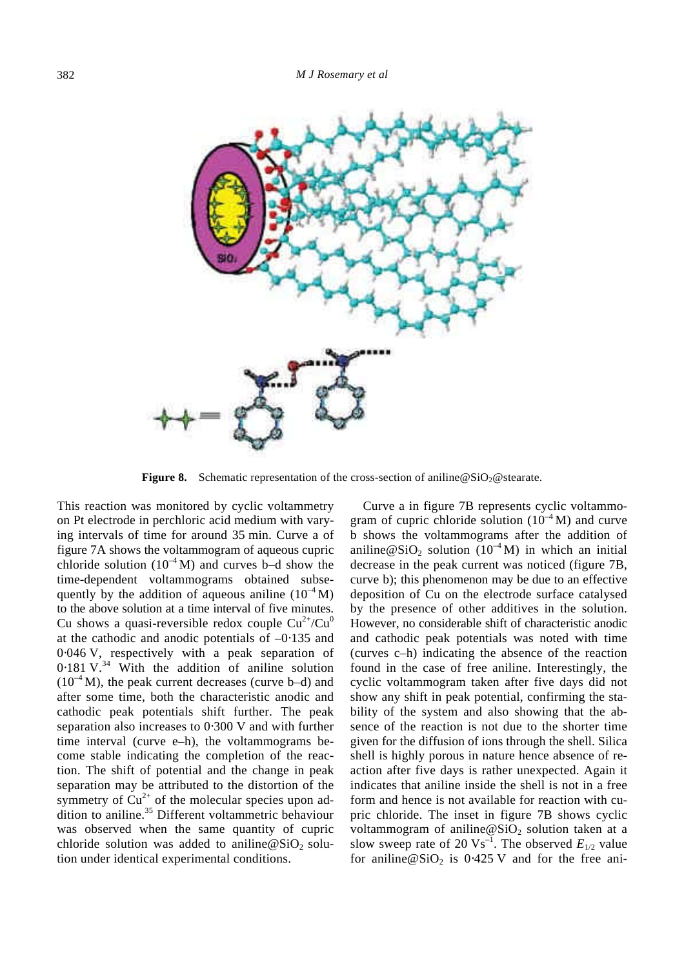

**Figure 8.** Schematic representation of the cross-section of aniline  $@SiO_2@$  stearate.

This reaction was monitored by cyclic voltammetry on Pt electrode in perchloric acid medium with varying intervals of time for around 35 min. Curve a of figure 7A shows the voltammogram of aqueous cupric chloride solution  $(10^{-4} M)$  and curves b–d show the time-dependent voltammograms obtained subsequently by the addition of aqueous aniline  $(10^{-4} M)$ to the above solution at a time interval of five minutes. Cu shows a quasi-reversible redox couple  $Cu^{2+}/Cu^{0}$ at the cathodic and anodic potentials of –0⋅135 and 0⋅046 V, respectively with a peak separation of 0.181 V.<sup>34</sup> With the addition of aniline solution  $(10^{-4} M)$ , the peak current decreases (curve b–d) and after some time, both the characteristic anodic and cathodic peak potentials shift further. The peak separation also increases to 0⋅300 V and with further time interval (curve e–h), the voltammograms become stable indicating the completion of the reaction. The shift of potential and the change in peak separation may be attributed to the distortion of the symmetry of  $Cu^{2+}$  of the molecular species upon addition to aniline.<sup>35</sup> Different voltammetric behaviour was observed when the same quantity of cupric chloride solution was added to aniline@SiO<sub>2</sub> solution under identical experimental conditions.

Curve a in figure 7B represents cyclic voltammogram of cupric chloride solution  $(10^{-4} M)$  and curve b shows the voltammograms after the addition of aniline@SiO<sub>2</sub> solution  $(10^{-4} M)$  in which an initial decrease in the peak current was noticed (figure 7B, curve b); this phenomenon may be due to an effective deposition of Cu on the electrode surface catalysed by the presence of other additives in the solution. However, no considerable shift of characteristic anodic and cathodic peak potentials was noted with time (curves c–h) indicating the absence of the reaction found in the case of free aniline. Interestingly, the cyclic voltammogram taken after five days did not show any shift in peak potential, confirming the stability of the system and also showing that the absence of the reaction is not due to the shorter time given for the diffusion of ions through the shell. Silica shell is highly porous in nature hence absence of reaction after five days is rather unexpected. Again it indicates that aniline inside the shell is not in a free form and hence is not available for reaction with cupric chloride. The inset in figure 7B shows cyclic voltammogram of aniline@SiO<sub>2</sub> solution taken at a slow sweep rate of 20  $\text{Vs}^{-1}$ . The observed  $E_{1/2}$  value for aniline@SiO<sub>2</sub> is  $0.425$  V and for the free ani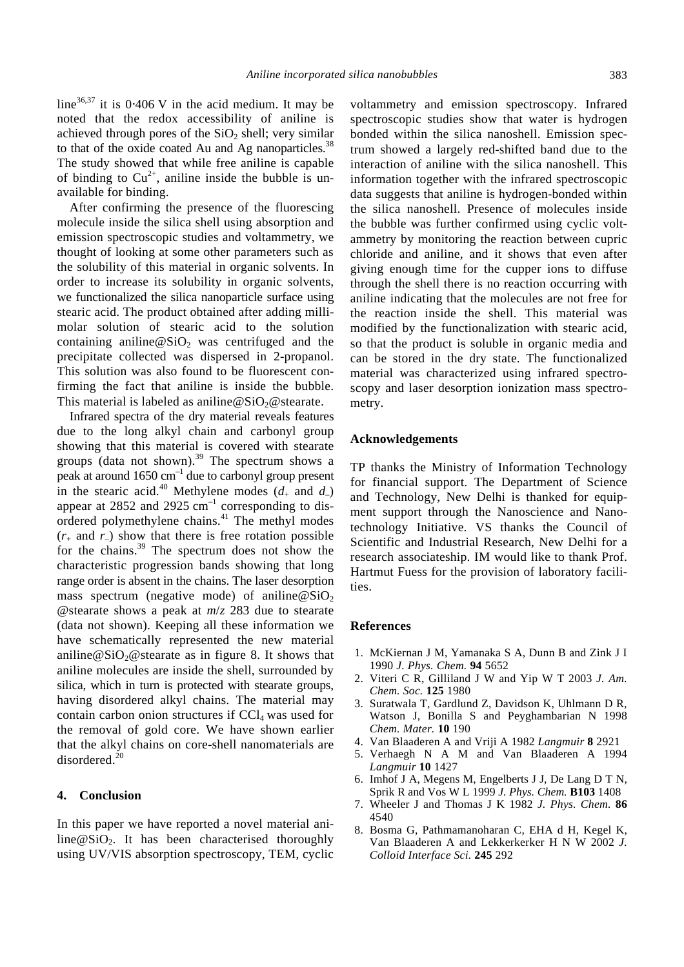line<sup>36,37</sup> it is 0⋅406 V in the acid medium. It may be noted that the redox accessibility of aniline is achieved through pores of the  $SiO<sub>2</sub>$  shell; very similar to that of the oxide coated Au and Ag nanoparticles.<sup>38</sup> The study showed that while free aniline is capable of binding to  $Cu^{2+}$ , aniline inside the bubble is unavailable for binding.

After confirming the presence of the fluorescing molecule inside the silica shell using absorption and emission spectroscopic studies and voltammetry, we thought of looking at some other parameters such as the solubility of this material in organic solvents. In order to increase its solubility in organic solvents, we functionalized the silica nanoparticle surface using stearic acid. The product obtained after adding millimolar solution of stearic acid to the solution containing aniline@SiO<sub>2</sub> was centrifuged and the precipitate collected was dispersed in 2-propanol. This solution was also found to be fluorescent confirming the fact that aniline is inside the bubble. This material is labeled as aniline@SiO<sub>2</sub>@stearate.

Infrared spectra of the dry material reveals features due to the long alkyl chain and carbonyl group showing that this material is covered with stearate groups (data not shown).<sup>39</sup> The spectrum shows a peak at around  $1650 \text{ cm}^{-1}$  due to carbonyl group present in the stearic acid.<sup>40</sup> Methylene modes  $(d_+$  and  $d_-$ ) appear at 2852 and 2925  $cm^{-1}$  corresponding to disordered polymethylene chains.<sup>41</sup> The methyl modes  $(r_{+}$  and  $r_{-}$ ) show that there is free rotation possible for the chains.<sup>39</sup> The spectrum does not show the characteristic progression bands showing that long range order is absent in the chains. The laser desorption mass spectrum (negative mode) of aniline@SiO<sub>2</sub> @stearate shows a peak at *m*/*z* 283 due to stearate (data not shown). Keeping all these information we have schematically represented the new material aniline@SiO<sub>2</sub>@stearate as in figure 8. It shows that aniline molecules are inside the shell, surrounded by silica, which in turn is protected with stearate groups, having disordered alkyl chains. The material may contain carbon onion structures if  $\text{CC}l<sub>4</sub>$  was used for the removal of gold core. We have shown earlier that the alkyl chains on core-shell nanomaterials are disordered. $^{20}$ 

#### **4. Conclusion**

In this paper we have reported a novel material aniline@SiO<sub>2</sub>. It has been characterised thoroughly using UV/VIS absorption spectroscopy, TEM, cyclic

voltammetry and emission spectroscopy. Infrared spectroscopic studies show that water is hydrogen bonded within the silica nanoshell. Emission spectrum showed a largely red-shifted band due to the interaction of aniline with the silica nanoshell. This information together with the infrared spectroscopic data suggests that aniline is hydrogen-bonded within the silica nanoshell. Presence of molecules inside the bubble was further confirmed using cyclic voltammetry by monitoring the reaction between cupric chloride and aniline, and it shows that even after giving enough time for the cupper ions to diffuse through the shell there is no reaction occurring with aniline indicating that the molecules are not free for the reaction inside the shell. This material was modified by the functionalization with stearic acid, so that the product is soluble in organic media and can be stored in the dry state. The functionalized material was characterized using infrared spectroscopy and laser desorption ionization mass spectrometry.

## **Acknowledgements**

TP thanks the Ministry of Information Technology for financial support. The Department of Science and Technology, New Delhi is thanked for equipment support through the Nanoscience and Nanotechnology Initiative. VS thanks the Council of Scientific and Industrial Research, New Delhi for a research associateship. IM would like to thank Prof. Hartmut Fuess for the provision of laboratory facilities.

### **References**

- 1. McKiernan J M, Yamanaka S A, Dunn B and Zink J I 1990 *J. Phys. Chem.* **94** 5652
- 2. Viteri C R, Gilliland J W and Yip W T 2003 *J. Am. Chem. Soc.* **125** 1980
- 3. Suratwala T, Gardlund Z, Davidson K, Uhlmann D R, Watson J, Bonilla S and Peyghambarian N 1998 *Chem. Mater.* **10** 190
- 4. Van Blaaderen A and Vriji A 1982 *Langmuir* **8** 2921
- 5. Verhaegh N A M and Van Blaaderen A 1994 *Langmuir* **10** 1427
- 6. Imhof J A, Megens M, Engelberts J J, De Lang D T N, Sprik R and Vos W L 1999 *J. Phys. Chem.* **B103** 1408
- 7. Wheeler J and Thomas J K 1982 *J. Phys. Chem.* **86**  4540
- 8. Bosma G, Pathmamanoharan C, EHA d H, Kegel K, Van Blaaderen A and Lekkerkerker H N W 2002 *J. Colloid Interface Sci.* **245** 292